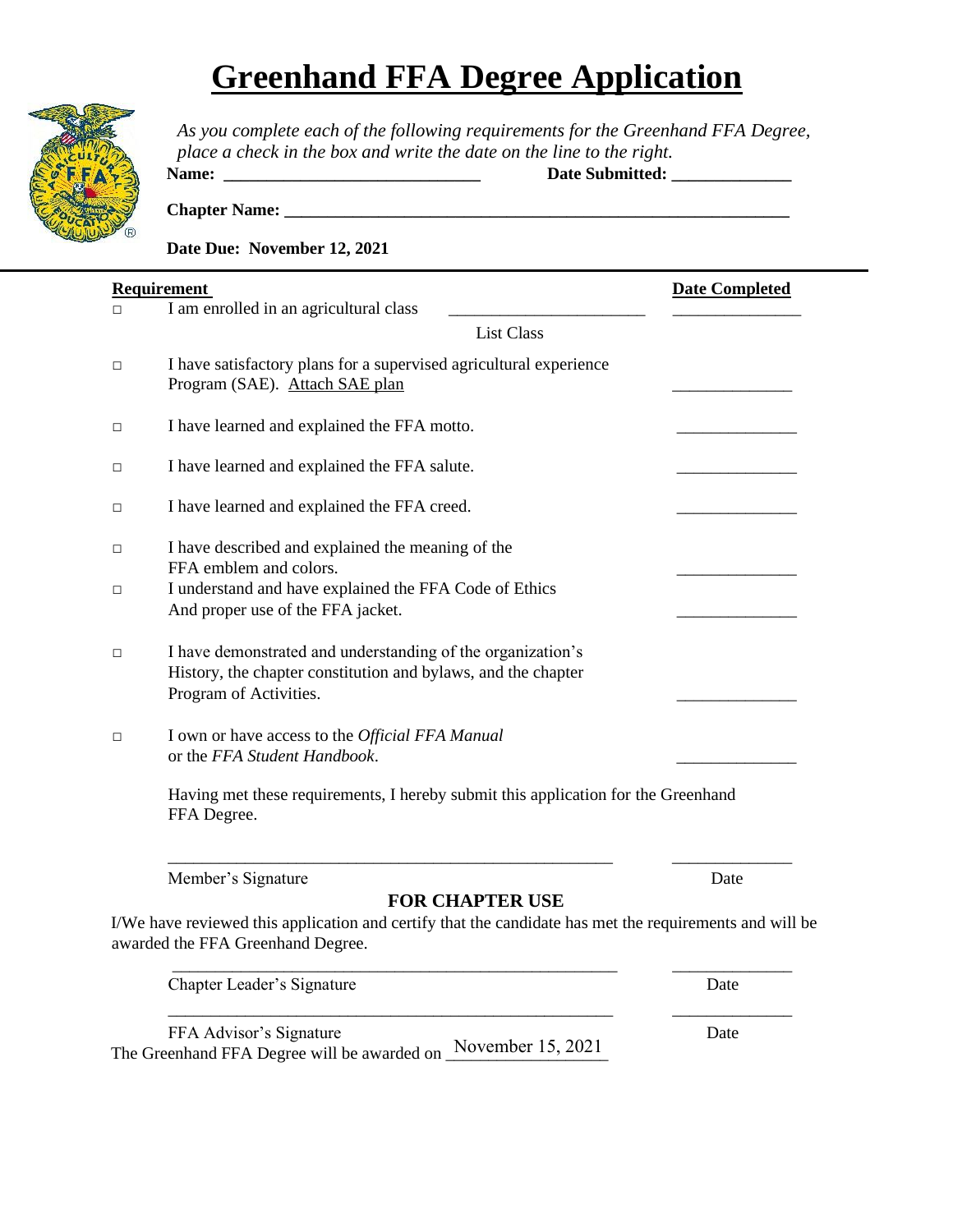## **Greenhand FFA Degree Application**



*As you complete each of the following requirements for the Greenhand FFA Degree, place a check in the box and write the date on the line to the right.* **Name: \_\_\_\_\_\_\_\_\_\_\_\_\_\_\_\_\_\_\_\_\_\_\_\_\_\_\_\_\_\_ Date Submitted: \_\_\_\_\_\_\_\_\_\_\_\_\_\_** 

**Chapter Name: \_\_\_\_\_\_\_\_\_\_\_\_\_\_\_\_\_\_\_\_\_\_\_\_\_\_\_\_\_\_\_\_\_\_\_\_\_\_\_\_\_\_\_\_\_\_\_\_\_\_\_\_\_\_\_\_\_\_\_** 

**Date Due: November 12, 2021** 

| П      | <b>Requirement</b><br>I am enrolled in an agricultural class                                                                                           | <b>Date Completed</b> |  |
|--------|--------------------------------------------------------------------------------------------------------------------------------------------------------|-----------------------|--|
|        | <b>List Class</b>                                                                                                                                      |                       |  |
| □      | I have satisfactory plans for a supervised agricultural experience<br>Program (SAE). Attach SAE plan                                                   |                       |  |
| $\Box$ | I have learned and explained the FFA motto.                                                                                                            |                       |  |
| □      | I have learned and explained the FFA salute.                                                                                                           |                       |  |
| □      | I have learned and explained the FFA creed.                                                                                                            |                       |  |
| □      | I have described and explained the meaning of the<br>FFA emblem and colors.                                                                            |                       |  |
| □      | I understand and have explained the FFA Code of Ethics<br>And proper use of the FFA jacket.                                                            |                       |  |
| □      | I have demonstrated and understanding of the organization's<br>History, the chapter constitution and bylaws, and the chapter<br>Program of Activities. |                       |  |
| □      | I own or have access to the Official FFA Manual<br>or the FFA Student Handbook.                                                                        |                       |  |
|        | Having met these requirements, I hereby submit this application for the Greenhand<br>FFA Degree.                                                       |                       |  |
|        | Member's Signature                                                                                                                                     | Date                  |  |
|        | <b>FOR CHAPTER USE</b>                                                                                                                                 |                       |  |
|        | I/We have reviewed this application and certify that the candidate has met the requirements and will be<br>awarded the FFA Greenhand Degree.           |                       |  |
|        | Chapter Leader's Signature                                                                                                                             | Date                  |  |

\_\_\_\_\_\_\_\_\_\_\_\_\_\_\_\_\_\_\_\_\_\_\_\_\_\_\_\_\_\_\_\_\_\_\_\_\_\_\_\_\_\_\_\_\_\_\_\_\_\_\_\_ \_\_\_\_\_\_\_\_\_\_\_\_\_\_

| FFA Advisor's Signature                                       | Date |
|---------------------------------------------------------------|------|
| The Greenhand FFA Degree will be awarded on November 15, 2021 |      |